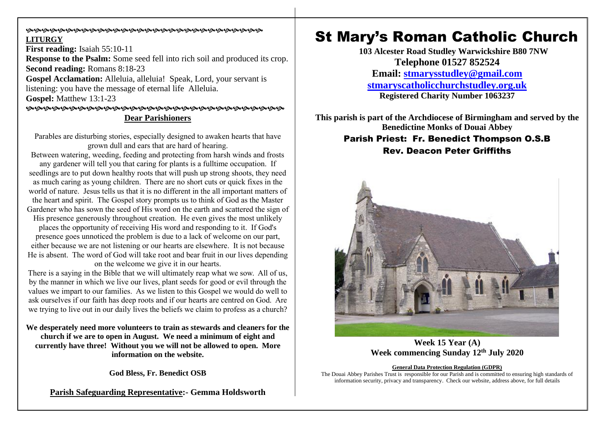### **©©©©©©©©©©©©©©©©©©©©©©©©©©©©©©©**©©©© **LITURGY**

**First reading:** Isaiah 55:10-11 **Response to the Psalm:** Some seed fell into rich soil and produced its crop. **Second reading:** Romans 8:18-23 **Gospel Acclamation:** Alleluia, alleluia! Speak, Lord, your servant is listening: you have the message of eternal life Alleluia. **Gospel:** Matthew 13:1-23 **Dear Parishioners**

Parables are disturbing stories, especially designed to awaken hearts that have grown dull and ears that are hard of hearing.

Between watering, weeding, feeding and protecting from harsh winds and frosts any gardener will tell you that caring for plants is a fulltime occupation. If seedlings are to put down healthy roots that will push up strong shoots, they need as much caring as young children. There are no short cuts or quick fixes in the world of nature. Jesus tells us that it is no different in the all important matters of the heart and spirit. The Gospel story prompts us to think of God as the Master Gardener who has sown the seed of His word on the earth and scattered the sign of His presence generously throughout creation. He even gives the most unlikely places the opportunity of receiving His word and responding to it. If God's presence goes unnoticed the problem is due to a lack of welcome on our part, either because we are not listening or our hearts are elsewhere. It is not because He is absent. The word of God will take root and bear fruit in our lives depending on the welcome we give it in our hearts.

There is a saying in the Bible that we will ultimately reap what we sow. All of us, by the manner in which we live our lives, plant seeds for good or evil through the values we impart to our families. As we listen to this Gospel we would do well to ask ourselves if our faith has deep roots and if our hearts are centred on God. Are we trying to live out in our daily lives the beliefs we claim to profess as a church?

**We desperately need more volunteers to train as stewards and cleaners for the church if we are to open in August. We need a minimum of eight and currently have three! Without you we will not be allowed to open. More information on the website.**

**God Bless, Fr. Benedict OSB**

**Parish Safeguarding Representative:- Gemma Holdsworth**

# St Mary's Roman Catholic Church

**103 Alcester Road Studley Warwickshire B80 7NW Telephone 01527 852524 Email: [stmarysstudley@gmail.com](mailto:stmarysstudley@gmail.com) [stmaryscatholicchurchstudley.org.uk](http://www.stmaryscatholicchurchstudley.org.uk/) Registered Charity Number 1063237**

**This parish is part of the Archdiocese of Birmingham and served by the Benedictine Monks of Douai Abbey** Parish Priest: Fr. Benedict Thompson O.S.B Rev. Deacon Peter Griffiths



**Week 15 Year (A) Week commencing Sunday 12th July 2020**

#### **General Data Protection Regulation (GDPR)**

The Douai Abbey Parishes Trust is responsible for our Parish and is committed to ensuring high standards of information security, privacy and transparency. Check our website, address above, for full details